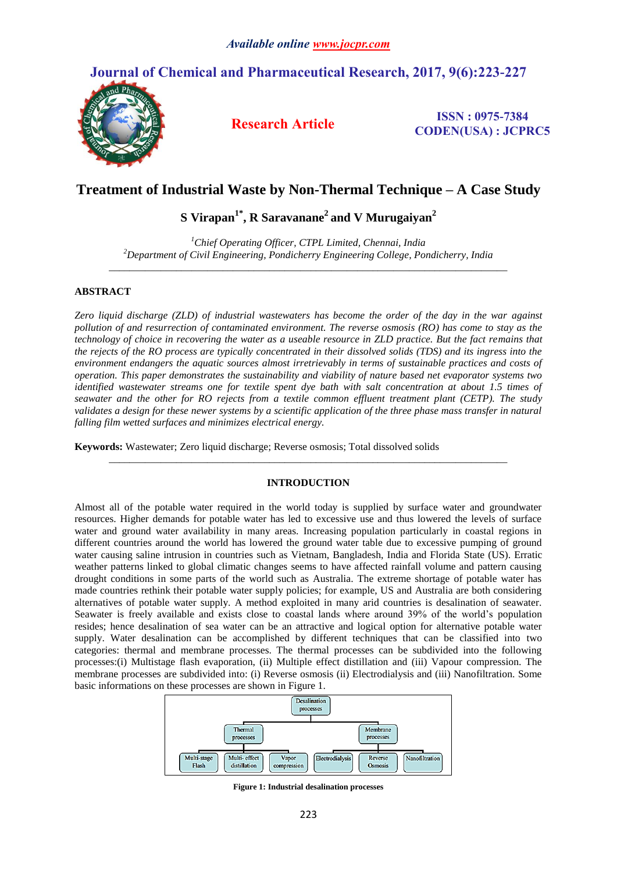# **Journal of Chemical and Pharmaceutical Research, 2017, 9(6):223-227**



**Research Article ISSN : 0975-7384 CODEN(USA) : JCPRC5**

### **Treatment of Industrial Waste by Non-Thermal Technique – A Case Study**

## **S Virapan1\* , R Saravanane<sup>2</sup> and V Murugaiyan<sup>2</sup>**

*<sup>1</sup>Chief Operating Officer, CTPL Limited, Chennai, India <sup>2</sup>Department of Civil Engineering, Pondicherry Engineering College, Pondicherry, India \_\_\_\_\_\_\_\_\_\_\_\_\_\_\_\_\_\_\_\_\_\_\_\_\_\_\_\_\_\_\_\_\_\_\_\_\_\_\_\_\_\_\_\_\_\_\_\_\_\_\_\_\_\_\_\_\_\_\_\_\_\_\_\_\_\_\_\_\_\_\_\_\_\_\_\_\_*

### **ABSTRACT**

*Zero liquid discharge (ZLD) of industrial wastewaters has become the order of the day in the war against pollution of and resurrection of contaminated environment. The reverse osmosis (RO) has come to stay as the technology of choice in recovering the water as a useable resource in ZLD practice. But the fact remains that the rejects of the RO process are typically concentrated in their dissolved solids (TDS) and its ingress into the environment endangers the aquatic sources almost irretrievably in terms of sustainable practices and costs of operation. This paper demonstrates the sustainability and viability of nature based net evaporator systems two identified wastewater streams one for textile spent dye bath with salt concentration at about 1.5 times of seawater and the other for RO rejects from a textile common effluent treatment plant (CETP). The study validates a design for these newer systems by a scientific application of the three phase mass transfer in natural falling film wetted surfaces and minimizes electrical energy.*

**Keywords:** Wastewater; Zero liquid discharge; Reverse osmosis; Total dissolved solids

#### **INTRODUCTION**

*\_\_\_\_\_\_\_\_\_\_\_\_\_\_\_\_\_\_\_\_\_\_\_\_\_\_\_\_\_\_\_\_\_\_\_\_\_\_\_\_\_\_\_\_\_\_\_\_\_\_\_\_\_\_\_\_\_\_\_\_\_\_\_\_\_\_\_\_\_\_\_\_\_\_\_\_\_*

Almost all of the potable water required in the world today is supplied by surface water and groundwater resources. Higher demands for potable water has led to excessive use and thus lowered the levels of surface water and ground water availability in many areas. Increasing population particularly in coastal regions in different countries around the world has lowered the ground water table due to excessive pumping of ground water causing saline intrusion in countries such as Vietnam, Bangladesh, India and Florida State (US). Erratic weather patterns linked to global climatic changes seems to have affected rainfall volume and pattern causing drought conditions in some parts of the world such as Australia. The extreme shortage of potable water has made countries rethink their potable water supply policies; for example, US and Australia are both considering alternatives of potable water supply. A method exploited in many arid countries is desalination of seawater. Seawater is freely available and exists close to coastal lands where around 39% of the world's population resides; hence desalination of sea water can be an attractive and logical option for alternative potable water supply. Water desalination can be accomplished by different techniques that can be classified into two categories: thermal and membrane processes. The thermal processes can be subdivided into the following processes:(i) Multistage flash evaporation, (ii) Multiple effect distillation and (iii) Vapour compression. The membrane processes are subdivided into: (i) Reverse osmosis (ii) Electrodialysis and (iii) Nanofiltration. Some basic informations on these processes are shown in Figure 1.



**Figure 1: Industrial desalination processes**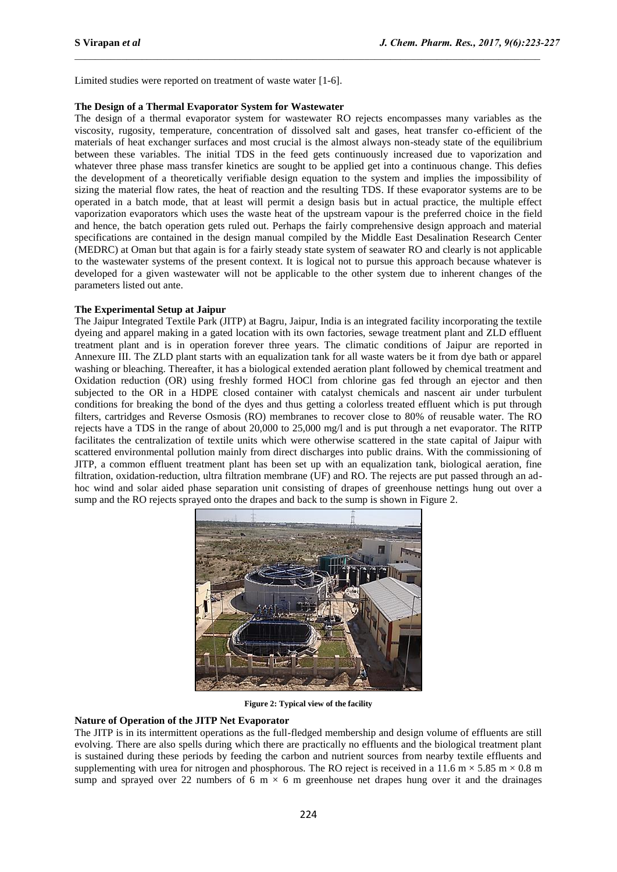Limited studies were reported on treatment of waste water [1-6].

#### **The Design of a Thermal Evaporator System for Wastewater**

The design of a thermal evaporator system for wastewater RO rejects encompasses many variables as the viscosity, rugosity, temperature, concentration of dissolved salt and gases, heat transfer co-efficient of the materials of heat exchanger surfaces and most crucial is the almost always non-steady state of the equilibrium between these variables. The initial TDS in the feed gets continuously increased due to vaporization and whatever three phase mass transfer kinetics are sought to be applied get into a continuous change. This defies the development of a theoretically verifiable design equation to the system and implies the impossibility of sizing the material flow rates, the heat of reaction and the resulting TDS. If these evaporator systems are to be operated in a batch mode, that at least will permit a design basis but in actual practice, the multiple effect vaporization evaporators which uses the waste heat of the upstream vapour is the preferred choice in the field and hence, the batch operation gets ruled out. Perhaps the fairly comprehensive design approach and material specifications are contained in the design manual compiled by the Middle East Desalination Research Center (MEDRC) at Oman but that again is for a fairly steady state system of seawater RO and clearly is not applicable to the wastewater systems of the present context. It is logical not to pursue this approach because whatever is developed for a given wastewater will not be applicable to the other system due to inherent changes of the parameters listed out ante.

#### **The Experimental Setup at Jaipur**

The Jaipur Integrated Textile Park (JITP) at Bagru, Jaipur, India is an integrated facility incorporating the textile dyeing and apparel making in a gated location with its own factories, sewage treatment plant and ZLD effluent treatment plant and is in operation forever three years. The climatic conditions of Jaipur are reported in Annexure III. The ZLD plant starts with an equalization tank for all waste waters be it from dye bath or apparel washing or bleaching. Thereafter, it has a biological extended aeration plant followed by chemical treatment and Oxidation reduction (OR) using freshly formed HOCl from chlorine gas fed through an ejector and then subjected to the OR in a HDPE closed container with catalyst chemicals and nascent air under turbulent conditions for breaking the bond of the dyes and thus getting a colorless treated effluent which is put through filters, cartridges and Reverse Osmosis (RO) membranes to recover close to 80% of reusable water. The RO rejects have a TDS in the range of about 20,000 to 25,000 mg/l and is put through a net evaporator. The RITP facilitates the centralization of textile units which were otherwise scattered in the state capital of Jaipur with scattered environmental pollution mainly from direct discharges into public drains. With the commissioning of JITP, a common effluent treatment plant has been set up with an equalization tank, biological aeration, fine filtration, oxidation-reduction, ultra filtration membrane (UF) and RO. The rejects are put passed through an adhoc wind and solar aided phase separation unit consisting of drapes of greenhouse nettings hung out over a sump and the RO rejects sprayed onto the drapes and back to the sump is shown in Figure 2.



**Figure 2: Typical view of the facility**

#### **Nature of Operation of the JITP Net Evaporator**

The JITP is in its intermittent operations as the full-fledged membership and design volume of effluents are still evolving. There are also spells during which there are practically no effluents and the biological treatment plant is sustained during these periods by feeding the carbon and nutrient sources from nearby textile effluents and supplementing with urea for nitrogen and phosphorous. The RO reject is received in a 11.6 m  $\times$  5.85 m  $\times$  0.8 m sump and sprayed over 22 numbers of 6 m  $\times$  6 m greenhouse net drapes hung over it and the drainages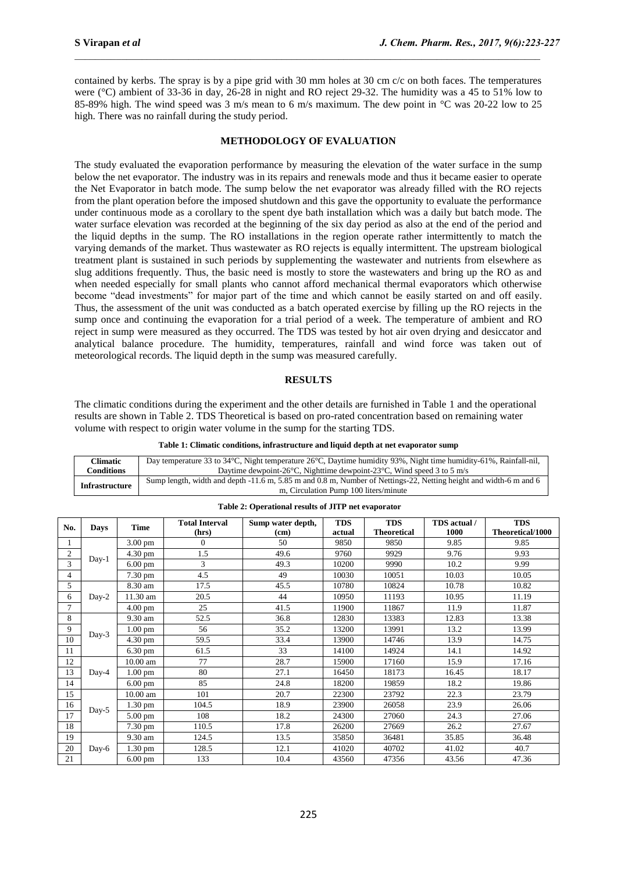contained by kerbs. The spray is by a pipe grid with 30 mm holes at 30 cm c/c on both faces. The temperatures were (°C) ambient of 33-36 in day, 26-28 in night and RO reject 29-32. The humidity was a 45 to 51% low to 85-89% high. The wind speed was 3 m/s mean to 6 m/s maximum. The dew point in °C was 20-22 low to 25 high. There was no rainfall during the study period.

#### **METHODOLOGY OF EVALUATION**

The study evaluated the evaporation performance by measuring the elevation of the water surface in the sump below the net evaporator. The industry was in its repairs and renewals mode and thus it became easier to operate the Net Evaporator in batch mode. The sump below the net evaporator was already filled with the RO rejects from the plant operation before the imposed shutdown and this gave the opportunity to evaluate the performance under continuous mode as a corollary to the spent dye bath installation which was a daily but batch mode. The water surface elevation was recorded at the beginning of the six day period as also at the end of the period and the liquid depths in the sump. The RO installations in the region operate rather intermittently to match the varying demands of the market. Thus wastewater as RO rejects is equally intermittent. The upstream biological treatment plant is sustained in such periods by supplementing the wastewater and nutrients from elsewhere as slug additions frequently. Thus, the basic need is mostly to store the wastewaters and bring up the RO as and when needed especially for small plants who cannot afford mechanical thermal evaporators which otherwise become "dead investments" for major part of the time and which cannot be easily started on and off easily. Thus, the assessment of the unit was conducted as a batch operated exercise by filling up the RO rejects in the sump once and continuing the evaporation for a trial period of a week. The temperature of ambient and RO reject in sump were measured as they occurred. The TDS was tested by hot air oven drying and desiccator and analytical balance procedure. The humidity, temperatures, rainfall and wind force was taken out of meteorological records. The liquid depth in the sump was measured carefully.

#### **RESULTS**

The climatic conditions during the experiment and the other details are furnished in Table 1 and the operational results are shown in Table 2. TDS Theoretical is based on pro-rated concentration based on remaining water volume with respect to origin water volume in the sump for the starting TDS.

**Table 1: Climatic conditions, infrastructure and liquid depth at net evaporator sump** 

| Climatic              | Day temperature 33 to 34 °C, Night temperature 26 °C, Daytime humidity 93%, Night time humidity 61%, Rainfall-nil, |  |  |  |  |  |
|-----------------------|--------------------------------------------------------------------------------------------------------------------|--|--|--|--|--|
| Conditions            | Daytime dewpoint-26 $\degree$ C, Nighttime dewpoint-23 $\degree$ C, Wind speed 3 to 5 m/s                          |  |  |  |  |  |
| <b>Infrastructure</b> | Sump length, width and depth -11.6 m, 5.85 m and 0.8 m, Number of Nettings-22, Netting height and width-6 m and 6  |  |  |  |  |  |
|                       | m, Circulation Pump 100 liters/minute                                                                              |  |  |  |  |  |

| No.            | <b>Days</b> | <b>Time</b>          | <b>Total Interval</b> | Sump water depth, | <b>TDS</b> | <b>TDS</b>         | TDS actual / | <b>TDS</b>       |
|----------------|-------------|----------------------|-----------------------|-------------------|------------|--------------------|--------------|------------------|
|                |             |                      | (hrs)                 | (cm)              | actual     | <b>Theoretical</b> | 1000         | Theoretical/1000 |
| 1              | $Day-1$     | $3.00 \text{ pm}$    | $\Omega$              | 50                | 9850       | 9850               | 9.85         | 9.85             |
| $\overline{c}$ |             | $4.30 \text{ pm}$    | 1.5                   | 49.6              | 9760       | 9929               | 9.76         | 9.93             |
| 3              |             | $6.00$ pm            | 3                     | 49.3              | 10200      | 9990               | 10.2         | 9.99             |
| 4              |             | 7.30 pm              | 4.5                   | 49                | 10030      | 10051              | 10.03        | 10.05            |
| 5              | Day-2       | 8.30 am              | 17.5                  | 45.5              | 10780      | 10824              | 10.78        | 10.82            |
| 6              |             | 11.30 am             | 20.5                  | 44                | 10950      | 11193              | 10.95        | 11.19            |
| $\overline{7}$ |             | $4.00 \text{ pm}$    | 25                    | 41.5              | 11900      | 11867              | 11.9         | 11.87            |
| 8              | $Day-3$     | 9.30 am              | 52.5                  | 36.8              | 12830      | 13383              | 12.83        | 13.38            |
| 9              |             | $1.00 \text{ pm}$    | 56                    | 35.2              | 13200      | 13991              | 13.2         | 13.99            |
| 10             |             | 4.30 pm              | 59.5                  | 33.4              | 13900      | 14746              | 13.9         | 14.75            |
| 11             |             | $6.30 \text{ pm}$    | 61.5                  | 33                | 14100      | 14924              | 14.1         | 14.92            |
| 12             | $Day-4$     | $10.00$ am           | 77                    | 28.7              | 15900      | 17160              | 15.9         | 17.16            |
| 13             |             | $1.00$ pm            | 80                    | 27.1              | 16450      | 18173              | 16.45        | 18.17            |
| 14             |             | $6.00 \text{ pm}$    | 85                    | 24.8              | 18200      | 19859              | 18.2         | 19.86            |
| 15             | Day-5       | $10.00$ am           | 101                   | 20.7              | 22300      | 23792              | 22.3         | 23.79            |
| 16             |             | $\overline{1.30}$ pm | 104.5                 | 18.9              | 23900      | 26058              | 23.9         | 26.06            |
| 17             |             | 5.00 pm              | 108                   | 18.2              | 24300      | 27060              | 24.3         | 27.06            |
| 18             |             | 7.30 pm              | 110.5                 | 17.8              | 26200      | 27669              | 26.2         | 27.67            |
| 19             | Day-6       | 9.30 am              | 124.5                 | 13.5              | 35850      | 36481              | 35.85        | 36.48            |
| 20             |             | $1.30 \text{ pm}$    | 128.5                 | 12.1              | 41020      | 40702              | 41.02        | 40.7             |
| 21             |             | $6.00$ pm            | 133                   | 10.4              | 43560      | 47356              | 43.56        | 47.36            |

**Table 2: Operational results of JITP net evaporator**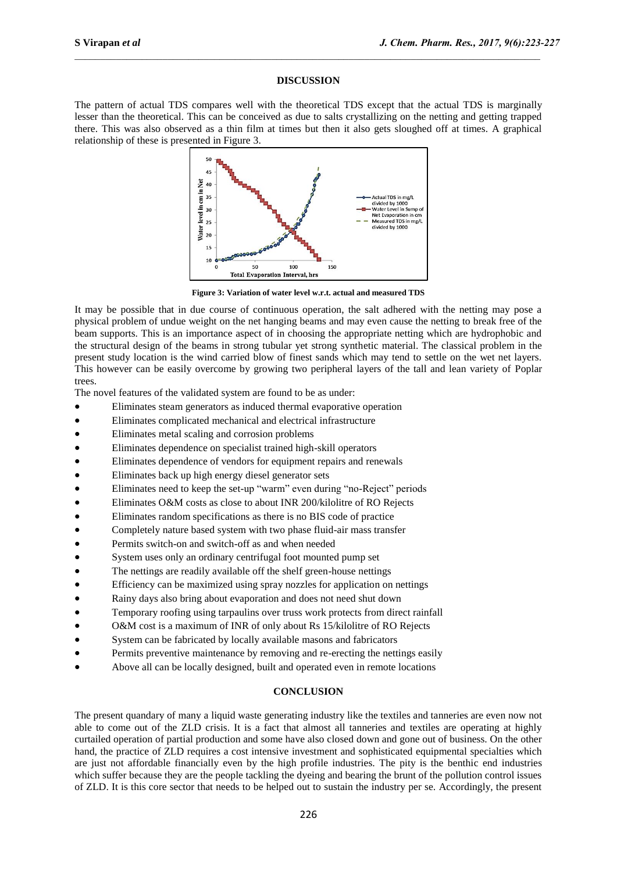#### **DISCUSSION**

The pattern of actual TDS compares well with the theoretical TDS except that the actual TDS is marginally lesser than the theoretical. This can be conceived as due to salts crystallizing on the netting and getting trapped there. This was also observed as a thin film at times but then it also gets sloughed off at times. A graphical relationship of these is presented in Figure 3.



**Figure 3: Variation of water level w.r.t. actual and measured TDS**

It may be possible that in due course of continuous operation, the salt adhered with the netting may pose a physical problem of undue weight on the net hanging beams and may even cause the netting to break free of the beam supports. This is an importance aspect of in choosing the appropriate netting which are hydrophobic and the structural design of the beams in strong tubular yet strong synthetic material. The classical problem in the present study location is the wind carried blow of finest sands which may tend to settle on the wet net layers. This however can be easily overcome by growing two peripheral layers of the tall and lean variety of Poplar trees.

The novel features of the validated system are found to be as under:

- Eliminates steam generators as induced thermal evaporative operation
- Eliminates complicated mechanical and electrical infrastructure
- Eliminates metal scaling and corrosion problems
- Eliminates dependence on specialist trained high-skill operators
- Eliminates dependence of vendors for equipment repairs and renewals
- Eliminates back up high energy diesel generator sets
- Eliminates need to keep the set-up "warm" even during "no-Reject" periods
- Eliminates O&M costs as close to about INR 200/kilolitre of RO Rejects
- Eliminates random specifications as there is no BIS code of practice
- Completely nature based system with two phase fluid-air mass transfer
- Permits switch-on and switch-off as and when needed
- System uses only an ordinary centrifugal foot mounted pump set
- The nettings are readily available off the shelf green-house nettings
- Efficiency can be maximized using spray nozzles for application on nettings
- Rainy days also bring about evaporation and does not need shut down
- Temporary roofing using tarpaulins over truss work protects from direct rainfall
- O&M cost is a maximum of INR of only about Rs 15/kilolitre of RO Rejects
- System can be fabricated by locally available masons and fabricators
- Permits preventive maintenance by removing and re-erecting the nettings easily
- Above all can be locally designed, built and operated even in remote locations

#### **CONCLUSION**

The present quandary of many a liquid waste generating industry like the textiles and tanneries are even now not able to come out of the ZLD crisis. It is a fact that almost all tanneries and textiles are operating at highly curtailed operation of partial production and some have also closed down and gone out of business. On the other hand, the practice of ZLD requires a cost intensive investment and sophisticated equipmental specialties which are just not affordable financially even by the high profile industries. The pity is the benthic end industries which suffer because they are the people tackling the dyeing and bearing the brunt of the pollution control issues of ZLD. It is this core sector that needs to be helped out to sustain the industry per se. Accordingly, the present